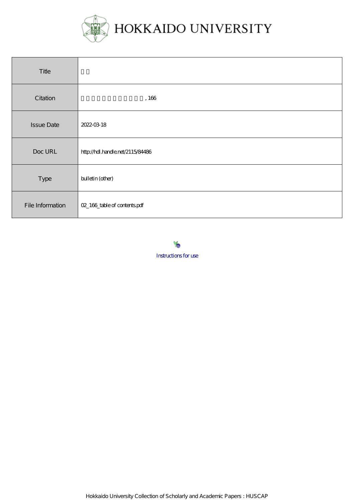

| Title             |                                  |
|-------------------|----------------------------------|
| Citation          | , 166                            |
| <b>Issue Date</b> | 2022-03-18                       |
| Doc URL           | http://hdl.handle.net/2115/84486 |
| Type              | bulletin (other)                 |
| File Information  | 02_166_table of contents pdf     |